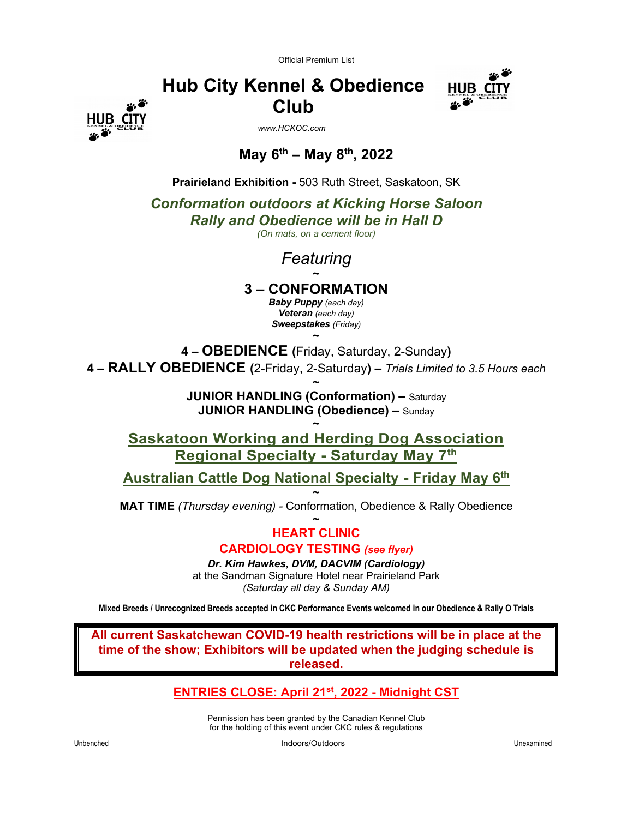Official Premium List



**Hub City Kennel & Obedience Club**

 *www.HCKOC.com*

# **May 6th – May 8th, 2022**

**Prairieland Exhibition -** 503 Ruth Street, Saskatoon, SK

*Conformation outdoors at Kicking Horse Saloon*

*Rally and Obedience will be in Hall D*

*(On mats, on a cement floor)*

*Featuring* **~**

**3 – CONFORMATION**

*Baby Puppy (each day) Veteran (each day) Sweepstakes (Friday)*

**4 – OBEDIENCE (**Friday, Saturday, 2-Sunday**) 4 – RALLY OBEDIENCE (**2-Friday, 2-Saturday**) –** *Trials Limited to 3.5 Hours each*

**~**

**~ JUNIOR HANDLING (Conformation) –** Saturday **JUNIOR HANDLING (Obedience) –** Sunday

**~ Saskatoon Working and Herding Dog Association Regional Specialty - Saturday May 7th**

**Australian Cattle Dog National Specialty - Friday May 6th**

**~ MAT TIME** *(Thursday evening) -* Conformation, Obedience & Rally Obedience

> **~ HEART CLINIC CARDIOLOGY TESTING** *(see flyer)*

*Dr. Kim Hawkes, DVM, DACVIM (Cardiology)* at the Sandman Signature Hotel near Prairieland Park *(Saturday all day & Sunday AM)*

**Mixed Breeds / Unrecognized Breeds accepted in CKC Performance Events welcomed in our Obedience & Rally O Trials**

**All current Saskatchewan COVID-19 health restrictions will be in place at the time of the show; Exhibitors will be updated when the judging schedule is released.**

**ENTRIES CLOSE: April 21st, 2022 - Midnight CST**

Permission has been granted by the Canadian Kennel Club for the holding of this event under CKC rules & regulations

**CIT**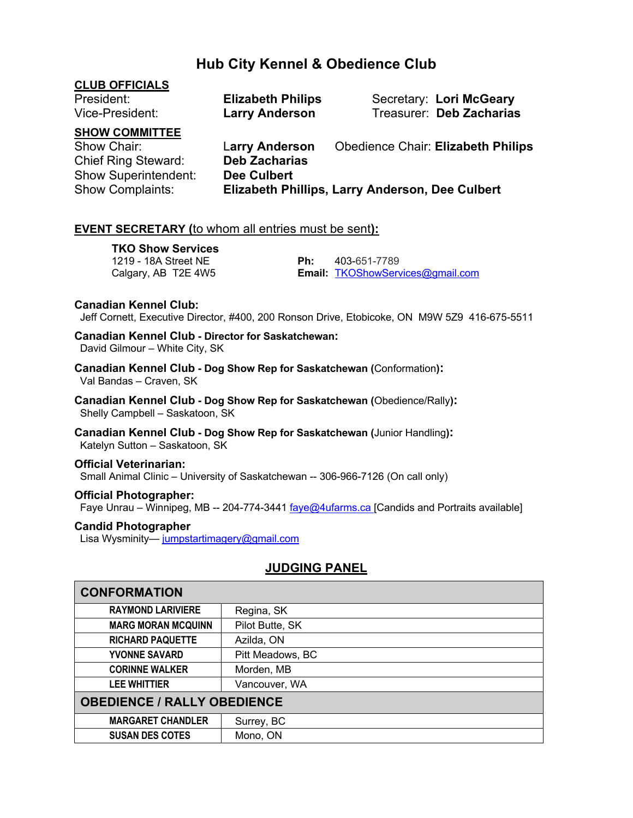# **Hub City Kennel & Obedience Club**

| <b>CLUB OFFICIALS</b><br>President:<br>Vice-President:             | <b>Elizabeth Philips</b><br><b>Larry Anderson</b> | Secretary: Lori McGeary<br>Treasurer: Deb Zacharias |
|--------------------------------------------------------------------|---------------------------------------------------|-----------------------------------------------------|
| <b>SHOW COMMITTEE</b><br>Show Chair:<br><b>Chief Ring Steward:</b> | <b>Larry Anderson</b><br><b>Deb Zacharias</b>     | <b>Obedience Chair: Elizabeth Philips</b>           |
| <b>Show Superintendent:</b><br><b>Show Complaints:</b>             | <b>Dee Culbert</b>                                | Elizabeth Phillips, Larry Anderson, Dee Culbert     |

#### **EVENT SECRETARY (**to whom all entries must be sent**):**

**TKO Show Services** 1219 - 18A Street NE **Ph:** 403-651-7789

Calgary, AB T2E 4W5 **Email:** TKOShowServices@gmail.com

#### **Canadian Kennel Club:**

Jeff Cornett, Executive Director, #400, 200 Ronson Drive, Etobicoke, ON M9W 5Z9 416-675-5511

**Canadian Kennel Club - Director for Saskatchewan:**

David Gilmour – White City, SK

**Canadian Kennel Club - Dog Show Rep for Saskatchewan (**Conformation**):** Val Bandas – Craven, SK

**Canadian Kennel Club - Dog Show Rep for Saskatchewan (**Obedience/Rally**):**Shelly Campbell – Saskatoon, SK

**Canadian Kennel Club - Dog Show Rep for Saskatchewan (**Junior Handling**):**Katelyn Sutton – Saskatoon, SK

#### **Official Veterinarian:**

Small Animal Clinic – University of Saskatchewan -- 306-966-7126 (On call only)

**Official Photographer:** Faye Unrau – Winnipeg, MB -- 204-774-3441 faye@4ufarms.ca [Candids and Portraits available]

#### **Candid Photographer**

Lisa Wysminity-jumpstartimagery@gmail.com

#### **JUDGING PANEL**

| <b>CONFORMATION</b>                |                  |  |
|------------------------------------|------------------|--|
| <b>RAYMOND LARIVIERE</b>           | Regina, SK       |  |
| <b>MARG MORAN MCQUINN</b>          | Pilot Butte, SK  |  |
| <b>RICHARD PAQUETTE</b>            | Azilda, ON       |  |
| <b>YVONNE SAVARD</b>               | Pitt Meadows, BC |  |
| <b>CORINNE WALKER</b>              | Morden, MB       |  |
| <b>LEE WHITTIER</b>                | Vancouver, WA    |  |
| <b>OBEDIENCE / RALLY OBEDIENCE</b> |                  |  |
| <b>MARGARET CHANDLER</b>           | Surrey, BC       |  |
| <b>SUSAN DES COTES</b>             | Mono, ON         |  |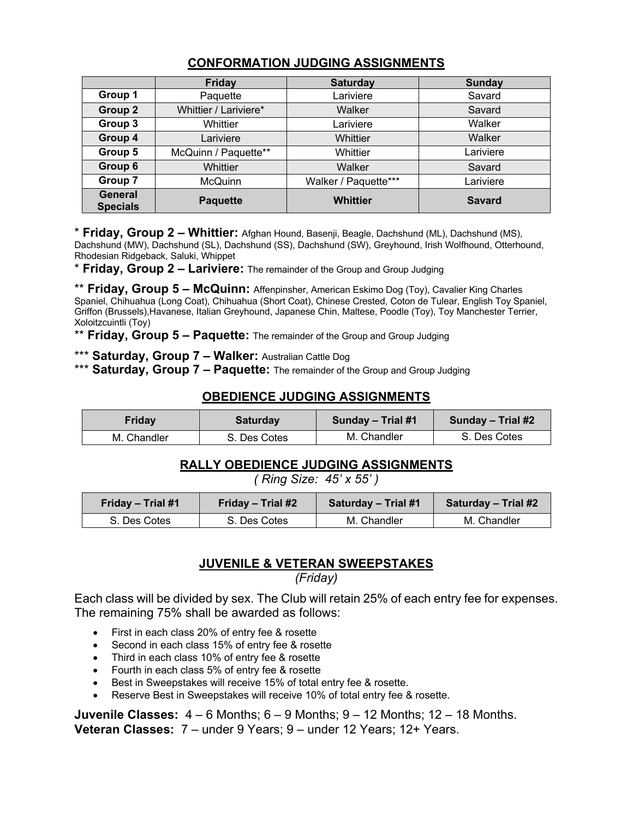|                            | <b>Friday</b>         | <b>Saturday</b>      | <b>Sunday</b> |
|----------------------------|-----------------------|----------------------|---------------|
| Group 1                    | Paquette              | Lariviere            | Savard        |
| Group 2                    | Whittier / Lariviere* | Walker               | Savard        |
| Group 3                    | Whittier              | Lariviere            | Walker        |
| Group 4                    | Lariviere             | Whittier             | Walker        |
| Group 5                    | McQuinn / Paquette**  | Whittier             | Lariviere     |
| Group 6                    | Whittier              | Walker               | Savard        |
| Group 7                    | <b>McQuinn</b>        | Walker / Paquette*** | Lariviere     |
| General<br><b>Specials</b> | <b>Paquette</b>       | <b>Whittier</b>      | <b>Savard</b> |

# **CONFORMATION JUDGING ASSIGNMENTS**

\* **Friday, Group 2 – Whittier:** Afghan Hound, Basenji, Beagle, Dachshund (ML), Dachshund (MS), Dachshund (MW), Dachshund (SL), Dachshund (SS), Dachshund (SW), Greyhound, Irish Wolfhound, Otterhound, Rhodesian Ridgeback, Saluki, Whippet

\* **Friday, Group 2 – Lariviere:** The remainder of the Group and Group Judging

\*\* **Friday, Group 5 – McQuinn:** Affenpinsher, American Eskimo Dog (Toy), Cavalier King Charles Spaniel, Chihuahua (Long Coat), Chihuahua (Short Coat), Chinese Crested, Coton de Tulear, English Toy Spaniel, Griffon (Brussels),Havanese, Italian Greyhound, Japanese Chin, Maltese, Poodle (Toy), Toy Manchester Terrier, Xoloitzcuintli (Toy)

\*\* **Friday, Group 5 – Paquette:** The remainder of the Group and Group Judging

\*\*\* **Saturday, Group 7 – Walker:** Australian Cattle Dog

\*\*\* **Saturday, Group 7 – Paquette:** The remainder of the Group and Group Judging

#### **OBEDIENCE JUDGING ASSIGNMENTS**

| Fridav      | <b>Saturday</b> | Sunday – Trial #1 | Sunday – Trial #2 |  |
|-------------|-----------------|-------------------|-------------------|--|
| M. Chandler | S. Des Cotes    | M. Chandler       | S. Des Cotes      |  |

#### **RALLY OBEDIENCE JUDGING ASSIGNMENTS**

*( Ring Size: 45' x 55' )*

| Friday - Trial #1 | Friday – Trial #2 | <b>Saturday – Trial #1</b> | Saturday – Trial #2 |  |
|-------------------|-------------------|----------------------------|---------------------|--|
| S. Des Cotes      | S. Des Cotes      | M. Chandler                | M. Chandler         |  |

#### **JUVENILE & VETERAN SWEEPSTAKES**

*(Friday)*

Each class will be divided by sex. The Club will retain 25% of each entry fee for expenses. The remaining 75% shall be awarded as follows:

- First in each class 20% of entry fee & rosette
- Second in each class 15% of entry fee & rosette
- Third in each class 10% of entry fee & rosette
- Fourth in each class 5% of entry fee & rosette
- Best in Sweepstakes will receive 15% of total entry fee & rosette.
- Reserve Best in Sweepstakes will receive 10% of total entry fee & rosette.

**Juvenile Classes:** 4 – 6 Months; 6 – 9 Months; 9 – 12 Months; 12 – 18 Months. **Veteran Classes:** 7 – under 9 Years; 9 – under 12 Years; 12+ Years.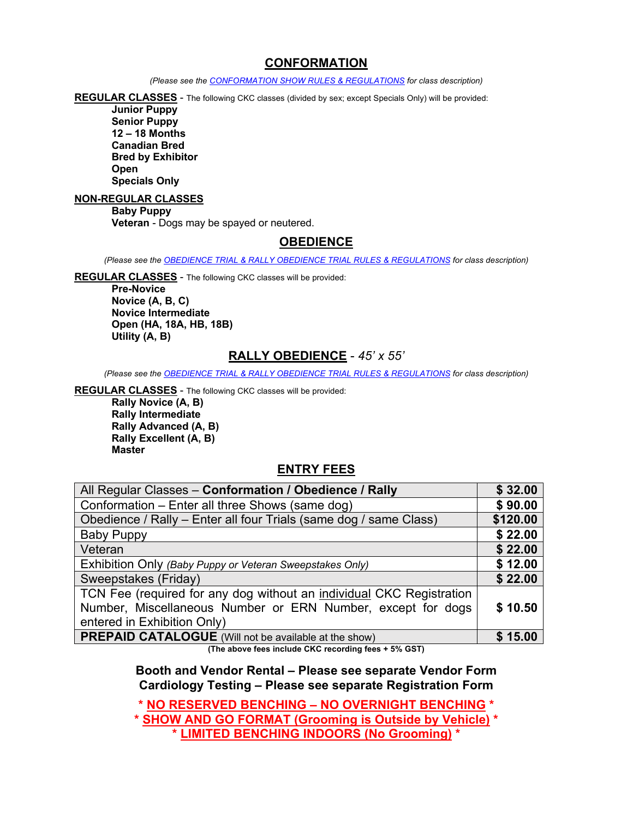#### **CONFORMATION**

*(Please see the CONFORMATION SHOW RULES & REGULATIONS for class description)*

**REGULAR CLASSES** - The following CKC classes (divided by sex; except Specials Only) will be provided:

**Junior Puppy Senior Puppy 12 – 18 Months Canadian Bred Bred by Exhibitor Open Specials Only**

#### **NON-REGULAR CLASSES**

**Baby Puppy Veteran** - Dogs may be spayed or neutered.

#### **OBEDIENCE**

*(Please see the OBEDIENCE TRIAL & RALLY OBEDIENCE TRIAL RULES & REGULATIONS for class description)*

**REGULAR CLASSES** - The following CKC classes will be provided:

**Pre-Novice Novice (A, B, C) Novice Intermediate Open (HA, 18A, HB, 18B) Utility (A, B)**

#### **RALLY OBEDIENCE** - *45' x 55'*

*(Please see the OBEDIENCE TRIAL & RALLY OBEDIENCE TRIAL RULES & REGULATIONS for class description)*

**REGULAR CLASSES** - The following CKC classes will be provided:

**Rally Novice (A, B) Rally Intermediate Rally Advanced (A, B) Rally Excellent (A, B) Master**

#### **ENTRY FEES**

| All Regular Classes - Conformation / Obedience / Rally               | \$32.00  |
|----------------------------------------------------------------------|----------|
| Conformation - Enter all three Shows (same dog)                      | \$90.00  |
| Obedience / Rally - Enter all four Trials (same dog / same Class)    | \$120.00 |
| <b>Baby Puppy</b>                                                    | \$22.00  |
| Veteran                                                              | \$22.00  |
| Exhibition Only (Baby Puppy or Veteran Sweepstakes Only)             | \$12.00  |
| Sweepstakes (Friday)                                                 | \$22.00  |
| TCN Fee (required for any dog without an individual CKC Registration |          |
| Number, Miscellaneous Number or ERN Number, except for dogs          | \$10.50  |
| entered in Exhibition Only)                                          |          |
| <b>PREPAID CATALOGUE</b> (Will not be available at the show)         | \$15.00  |

**(The above fees include CKC recording fees + 5% GST)**

**Booth and Vendor Rental – Please see separate Vendor Form Cardiology Testing – Please see separate Registration Form**

**\* NO RESERVED BENCHING – NO OVERNIGHT BENCHING \***

**\* SHOW AND GO FORMAT (Grooming is Outside by Vehicle) \* \* LIMITED BENCHING INDOORS (No Grooming) \***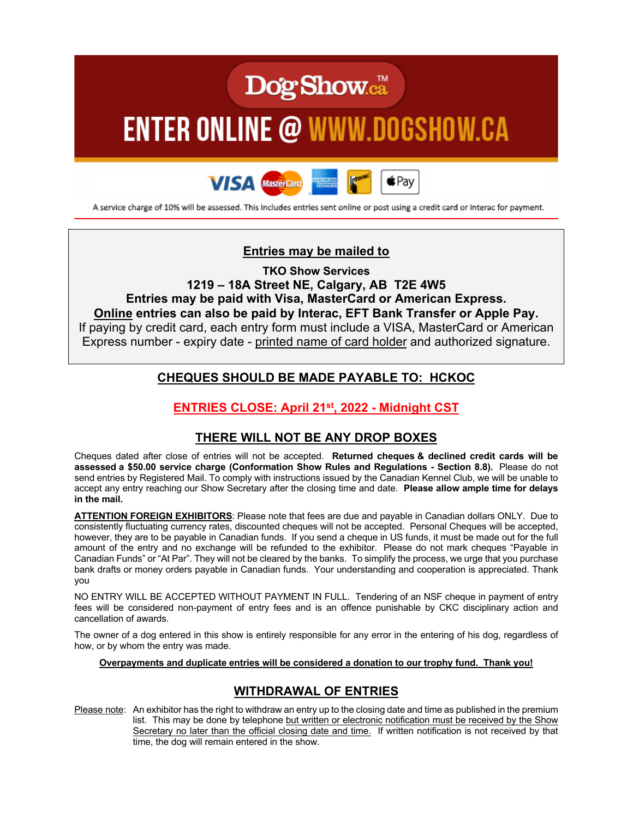# **Dog Show.**ca™

# **ENTER ONLINE @ WWW.DOGSHOW.CA**



A service charge of 10% will be assessed. This includes entries sent online or post using a credit card or interac for payment.

### **Entries may be mailed to**

**TKO Show Services**

**1219 – 18A Street NE, Calgary, AB T2E 4W5 Entries may be paid with Visa, MasterCard or American Express. Online entries can also be paid by Interac, EFT Bank Transfer or Apple Pay.** If paying by credit card, each entry form must include a VISA, MasterCard or American Express number - expiry date - printed name of card holder and authorized signature.

# **CHEQUES SHOULD BE MADE PAYABLE TO: HCKOC**

# **ENTRIES CLOSE: April 21st, 2022 - Midnight CST**

#### **THERE WILL NOT BE ANY DROP BOXES**

Cheques dated after close of entries will not be accepted. **Returned cheques & declined credit cards will be assessed a \$50.00 service charge (Conformation Show Rules and Regulations - Section 8.8).** Please do not send entries by Registered Mail. To comply with instructions issued by the Canadian Kennel Club, we will be unable to accept any entry reaching our Show Secretary after the closing time and date. **Please allow ample time for delays in the mail.**

**ATTENTION FOREIGN EXHIBITORS**: Please note that fees are due and payable in Canadian dollars ONLY. Due to consistently fluctuating currency rates, discounted cheques will not be accepted. Personal Cheques will be accepted, however, they are to be payable in Canadian funds. If you send a cheque in US funds, it must be made out for the full amount of the entry and no exchange will be refunded to the exhibitor. Please do not mark cheques "Payable in Canadian Funds" or "At Par". They will not be cleared by the banks. To simplify the process, we urge that you purchase bank drafts or money orders payable in Canadian funds. Your understanding and cooperation is appreciated. Thank you

NO ENTRY WILL BE ACCEPTED WITHOUT PAYMENT IN FULL. Tendering of an NSF cheque in payment of entry fees will be considered non-payment of entry fees and is an offence punishable by CKC disciplinary action and cancellation of awards.

The owner of a dog entered in this show is entirely responsible for any error in the entering of his dog, regardless of how, or by whom the entry was made.

#### **Overpayments and duplicate entries will be considered a donation to our trophy fund. Thank you!**

#### **WITHDRAWAL OF ENTRIES**

Please note: An exhibitor has the right to withdraw an entry up to the closing date and time as published in the premium list. This may be done by telephone but written or electronic notification must be received by the Show Secretary no later than the official closing date and time. If written notification is not received by that time, the dog will remain entered in the show.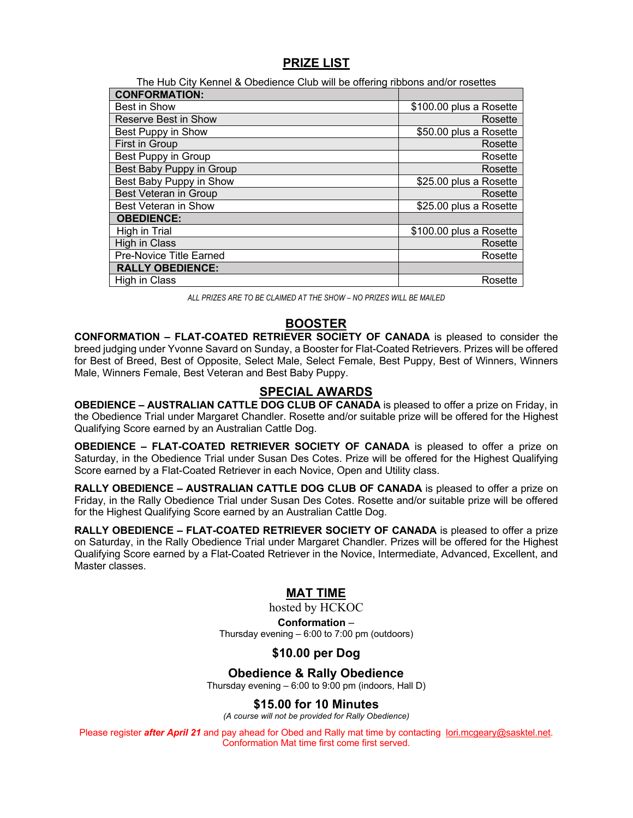#### **PRIZE LIST**

| The Hub City Kennel & Obedience Club will be offering ribbons and/or rosettes |                         |  |  |  |
|-------------------------------------------------------------------------------|-------------------------|--|--|--|
| <b>CONFORMATION:</b>                                                          |                         |  |  |  |
| Best in Show                                                                  | \$100.00 plus a Rosette |  |  |  |
| <b>Reserve Best in Show</b>                                                   | Rosette                 |  |  |  |
| Best Puppy in Show                                                            | \$50.00 plus a Rosette  |  |  |  |
| First in Group                                                                | Rosette                 |  |  |  |
| Best Puppy in Group                                                           | Rosette                 |  |  |  |
| Best Baby Puppy in Group                                                      | Rosette                 |  |  |  |
| Best Baby Puppy in Show                                                       | \$25.00 plus a Rosette  |  |  |  |
| <b>Best Veteran in Group</b>                                                  | Rosette                 |  |  |  |
| <b>Best Veteran in Show</b>                                                   | \$25.00 plus a Rosette  |  |  |  |
| <b>OBEDIENCE:</b>                                                             |                         |  |  |  |
| High in Trial                                                                 | \$100.00 plus a Rosette |  |  |  |
| High in Class                                                                 | Rosette                 |  |  |  |
| <b>Pre-Novice Title Earned</b>                                                | Rosette                 |  |  |  |
| <b>RALLY OBEDIENCE:</b>                                                       |                         |  |  |  |
| High in Class                                                                 | Rosette                 |  |  |  |

*ALL PRIZES ARE TO BE CLAIMED AT THE SHOW – NO PRIZES WILL BE MAILED*

#### **BOOSTER**

**CONFORMATION – FLAT-COATED RETRIEVER SOCIETY OF CANADA** is pleased to consider the breed judging under Yvonne Savard on Sunday, a Booster for Flat-Coated Retrievers. Prizes will be offered for Best of Breed, Best of Opposite, Select Male, Select Female, Best Puppy, Best of Winners, Winners Male, Winners Female, Best Veteran and Best Baby Puppy.

#### **SPECIAL AWARDS**

**OBEDIENCE – AUSTRALIAN CATTLE DOG CLUB OF CANADA** is pleased to offer a prize on Friday, in the Obedience Trial under Margaret Chandler. Rosette and/or suitable prize will be offered for the Highest Qualifying Score earned by an Australian Cattle Dog.

**OBEDIENCE – FLAT-COATED RETRIEVER SOCIETY OF CANADA** is pleased to offer a prize on Saturday, in the Obedience Trial under Susan Des Cotes. Prize will be offered for the Highest Qualifying Score earned by a Flat-Coated Retriever in each Novice, Open and Utility class.

**RALLY OBEDIENCE – AUSTRALIAN CATTLE DOG CLUB OF CANADA** is pleased to offer a prize on Friday, in the Rally Obedience Trial under Susan Des Cotes. Rosette and/or suitable prize will be offered for the Highest Qualifying Score earned by an Australian Cattle Dog.

**RALLY OBEDIENCE – FLAT-COATED RETRIEVER SOCIETY OF CANADA** is pleased to offer a prize on Saturday, in the Rally Obedience Trial under Margaret Chandler. Prizes will be offered for the Highest Qualifying Score earned by a Flat-Coated Retriever in the Novice, Intermediate, Advanced, Excellent, and Master classes.

#### **MAT TIME**

hosted by HCKOC **Conformation** *–* Thursday evening – 6:00 to 7:00 pm (outdoors)

#### **\$10.00 per Dog**

#### **Obedience & Rally Obedience**

Thursday evening – 6:00 to 9:00 pm (indoors, Hall D)

#### **\$15.00 for 10 Minutes**

*(A course will not be provided for Rally Obedience)*

Please register *after April 21* and pay ahead for Obed and Rally mat time by contacting lori.mcgeary@sasktel.net. Conformation Mat time first come first served.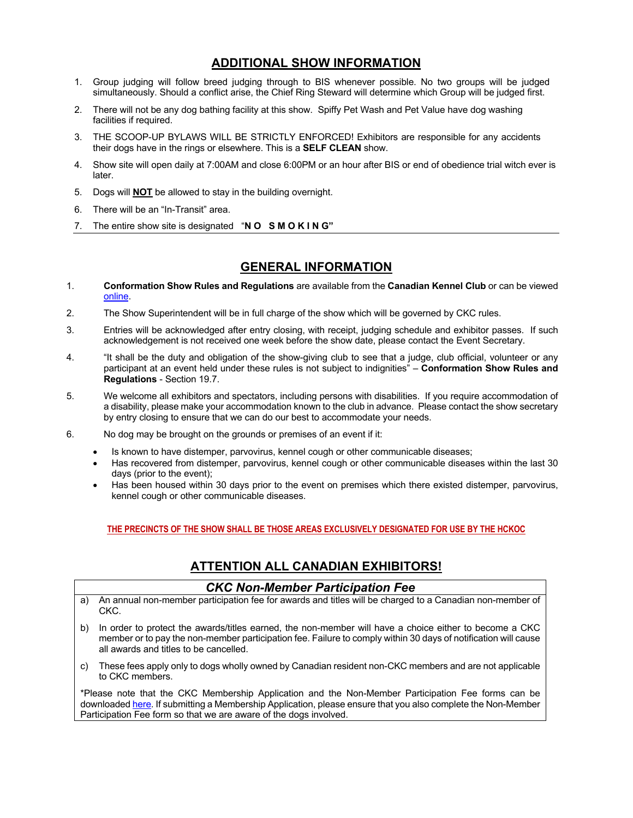#### **ADDITIONAL SHOW INFORMATION**

- 1. Group judging will follow breed judging through to BIS whenever possible. No two groups will be judged simultaneously. Should a conflict arise, the Chief Ring Steward will determine which Group will be judged first.
- 2. There will not be any dog bathing facility at this show. Spiffy Pet Wash and Pet Value have dog washing facilities if required.
- 3. THE SCOOP-UP BYLAWS WILL BE STRICTLY ENFORCED! Exhibitors are responsible for any accidents their dogs have in the rings or elsewhere. This is a **SELF CLEAN** show.
- 4. Show site will open daily at 7:00AM and close 6:00PM or an hour after BIS or end of obedience trial witch ever is later.
- 5. Dogs will **NOT** be allowed to stay in the building overnight.
- 6. There will be an "In-Transit" area.
- 7. The entire show site is designated "**N O S M O K I N G"**

#### **GENERAL INFORMATION**

- 1. **Conformation Show Rules and Regulations** are available from the **Canadian Kennel Club** or can be viewed online.
- 2. The Show Superintendent will be in full charge of the show which will be governed by CKC rules.
- 3. Entries will be acknowledged after entry closing, with receipt, judging schedule and exhibitor passes. If such acknowledgement is not received one week before the show date, please contact the Event Secretary.
- 4. "It shall be the duty and obligation of the show-giving club to see that a judge, club official, volunteer or any participant at an event held under these rules is not subject to indignities" – **Conformation Show Rules and Regulations** - Section 19.7.
- 5. We welcome all exhibitors and spectators, including persons with disabilities. If you require accommodation of a disability, please make your accommodation known to the club in advance. Please contact the show secretary by entry closing to ensure that we can do our best to accommodate your needs.
- 6. No dog may be brought on the grounds or premises of an event if it:
	- Is known to have distemper, parvovirus, kennel cough or other communicable diseases;
	- Has recovered from distemper, parvovirus, kennel cough or other communicable diseases within the last 30 days (prior to the event);
	- Has been housed within 30 days prior to the event on premises which there existed distemper, parvovirus, kennel cough or other communicable diseases.

#### **THE PRECINCTS OF THE SHOW SHALL BE THOSE AREAS EXCLUSIVELY DESIGNATED FOR USE BY THE HCKOC**

#### **ATTENTION ALL CANADIAN EXHIBITORS!**

#### *CKC Non-Member Participation Fee*

- a) An annual non-member participation fee for awards and titles will be charged to a Canadian non-member of CKC.
- b) In order to protect the awards/titles earned, the non-member will have a choice either to become a CKC member or to pay the non-member participation fee. Failure to comply within 30 days of notification will cause all awards and titles to be cancelled.
- c) These fees apply only to dogs wholly owned by Canadian resident non-CKC members and are not applicable to CKC members.

\*Please note that the CKC Membership Application and the Non-Member Participation Fee forms can be downloaded here. If submitting a Membership Application, please ensure that you also complete the Non-Member Participation Fee form so that we are aware of the dogs involved.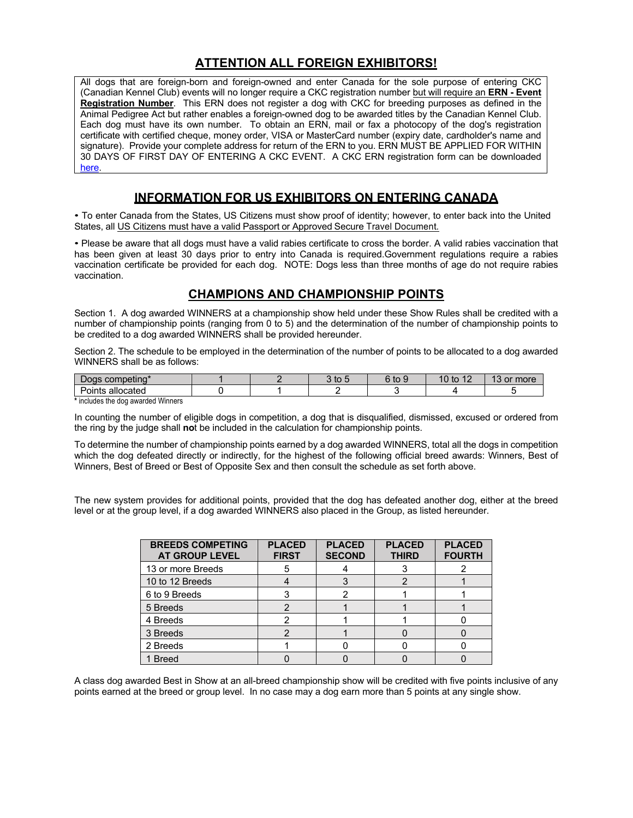# **ATTENTION ALL FOREIGN EXHIBITORS!**

All dogs that are foreign-born and foreign-owned and enter Canada for the sole purpose of entering CKC (Canadian Kennel Club) events will no longer require a CKC registration number but will require an **ERN - Event Registration Number**. This ERN does not register a dog with CKC for breeding purposes as defined in the Animal Pedigree Act but rather enables a foreign-owned dog to be awarded titles by the Canadian Kennel Club. Each dog must have its own number. To obtain an ERN, mail or fax a photocopy of the dog's registration certificate with certified cheque, money order, VISA or MasterCard number (expiry date, cardholder's name and signature). Provide your complete address for return of the ERN to you. ERN MUST BE APPLIED FOR WITHIN 30 DAYS OF FIRST DAY OF ENTERING A CKC EVENT. A CKC ERN registration form can be downloaded here.

#### **INFORMATION FOR US EXHIBITORS ON ENTERING CANADA**

• To enter Canada from the States, US Citizens must show proof of identity; however, to enter back into the United States, all US Citizens must have a valid Passport or Approved Secure Travel Document*.*

• Please be aware that all dogs must have a valid rabies certificate to cross the border. A valid rabies vaccination that has been given at least 30 days prior to entry into Canada is required.Government regulations require a rabies vaccination certificate be provided for each dog. NOTE: Dogs less than three months of age do not require rabies vaccination.

### **CHAMPIONS AND CHAMPIONSHIP POINTS**

Section 1. A dog awarded WINNERS at a championship show held under these Show Rules shall be credited with a number of championship points (ranging from 0 to 5) and the determination of the number of championship points to be credited to a dog awarded WINNERS shall be provided hereunder.

Section 2. The schedule to be employed in the determination of the number of points to be allocated to a dog awarded WINNERS shall be as follows:

| …neting*               |  | w | $\sim$<br>$+ -$<br>LO | $\overline{A}$<br>$AD^+$<br>ιυ<br>. . | $\sim$<br>more<br>$\alpha$ |
|------------------------|--|---|-----------------------|---------------------------------------|----------------------------|
| <br>allocated<br>UIILS |  |   |                       |                                       |                            |

**\*** includes the dog awarded Winners

In counting the number of eligible dogs in competition, a dog that is disqualified, dismissed, excused or ordered from the ring by the judge shall **no**t be included in the calculation for championship points.

To determine the number of championship points earned by a dog awarded WINNERS, total all the dogs in competition which the dog defeated directly or indirectly, for the highest of the following official breed awards: Winners, Best of Winners, Best of Breed or Best of Opposite Sex and then consult the schedule as set forth above.

The new system provides for additional points, provided that the dog has defeated another dog, either at the breed level or at the group level, if a dog awarded WINNERS also placed in the Group, as listed hereunder.

| <b>BREEDS COMPETING</b><br><b>AT GROUP LEVEL</b> | <b>PLACED</b><br><b>FIRST</b> | <b>PLACED</b><br><b>SECOND</b> | <b>PLACED</b><br><b>THIRD</b> | <b>PLACED</b><br><b>FOURTH</b> |
|--------------------------------------------------|-------------------------------|--------------------------------|-------------------------------|--------------------------------|
| 13 or more Breeds                                |                               |                                |                               |                                |
| 10 to 12 Breeds                                  |                               |                                |                               |                                |
| 6 to 9 Breeds                                    |                               |                                |                               |                                |
| 5 Breeds                                         |                               |                                |                               |                                |
| 4 Breeds                                         |                               |                                |                               |                                |
| 3 Breeds                                         |                               |                                |                               |                                |
| 2 Breeds                                         |                               |                                |                               |                                |
| 1 Breed                                          |                               |                                |                               |                                |

A class dog awarded Best in Show at an all-breed championship show will be credited with five points inclusive of any points earned at the breed or group level. In no case may a dog earn more than 5 points at any single show.